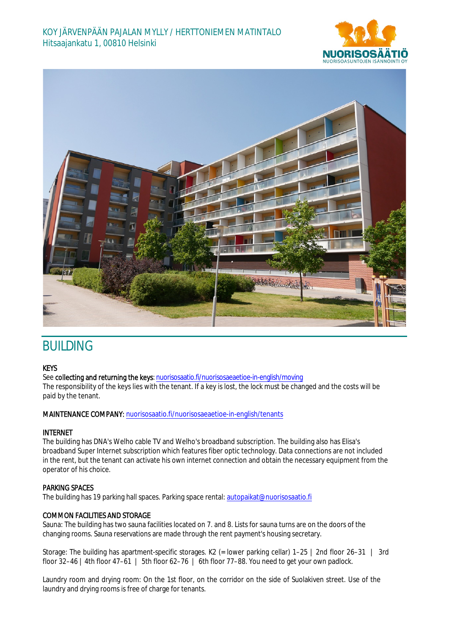



# **BUILDING**

## KEYS

See collecting and returning the keys: nuorisosaatio.fi/nuorisosaeaetioe-in-english/moving The responsibility of the keys lies with the tenant. If a key is lost, the lock must be changed and the costs will be paid by the tenant.

## MAINTENANCE COMPANY: nuorisosaatio.fi/nuorisosaeaetioe-in-english/tenants

## INTERNET

The building has DNA's Welho cable TV and Welho's broadband subscription. The building also has Elisa's broadband Super Internet subscription which features fiber optic technology. Data connections are not included in the rent, but the tenant can activate his own internet connection and obtain the necessary equipment from the operator of his choice.

## PARKING SPACES

The building has 19 parking hall spaces. Parking space rental: autopaikat@nuorisosaatio.fi

## COMMON FACILITIES AND STORAGE

Sauna: The building has two sauna facilities located on 7. and 8. Lists for sauna turns are on the doors of the changing rooms. Sauna reservations are made through the rent payment's housing secretary.

Storage: The building has apartment-specific storages. K2 (= lower parking cellar) 1–25 | 2nd floor 26–31 | 3rd floor  $32-46$  | 4th floor  $47-61$  | 5th floor  $62-76$  | 6th floor  $77-88$ . You need to get your own padlock.

Laundry room and drying room: On the 1st floor, on the corridor on the side of Suolakiven street. Use of the laundry and drying rooms is free of charge for tenants.